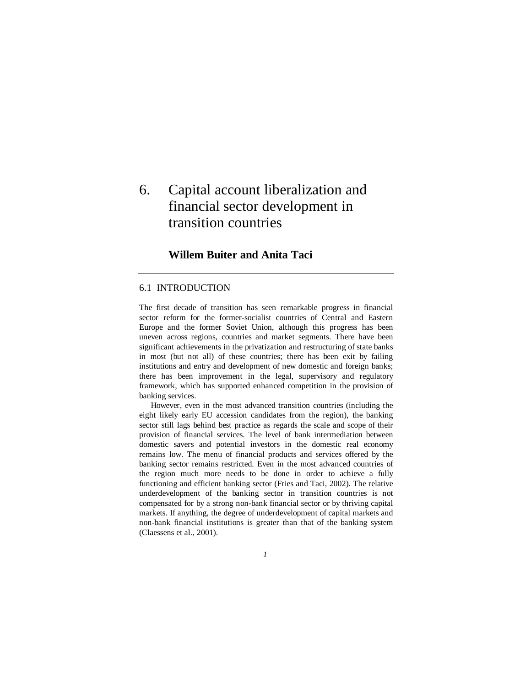# 6. Capital account liberalization and financial sector development in transition countries

## **Willem Buiter and Anita Taci**

## 6.1 INTRODUCTION

The first decade of transition has seen remarkable progress in financial sector reform for the former-socialist countries of Central and Eastern Europe and the former Soviet Union, although this progress has been uneven across regions, countries and market segments. There have been significant achievements in the privatization and restructuring of state banks in most (but not all) of these countries; there has been exit by failing institutions and entry and development of new domestic and foreign banks; there has been improvement in the legal, supervisory and regulatory framework, which has supported enhanced competition in the provision of banking services.

 However, even in the most advanced transition countries (including the eight likely early EU accession candidates from the region), the banking sector still lags behind best practice as regards the scale and scope of their provision of financial services. The level of bank intermediation between domestic savers and potential investors in the domestic real economy remains low. The menu of financial products and services offered by the banking sector remains restricted. Even in the most advanced countries of the region much more needs to be done in order to achieve a fully functioning and efficient banking sector (Fries and Taci, 2002). The relative underdevelopment of the banking sector in transition countries is not compensated for by a strong non-bank financial sector or by thriving capital markets. If anything, the degree of underdevelopment of capital markets and non-bank financial institutions is greater than that of the banking system (Claessens et al., 2001).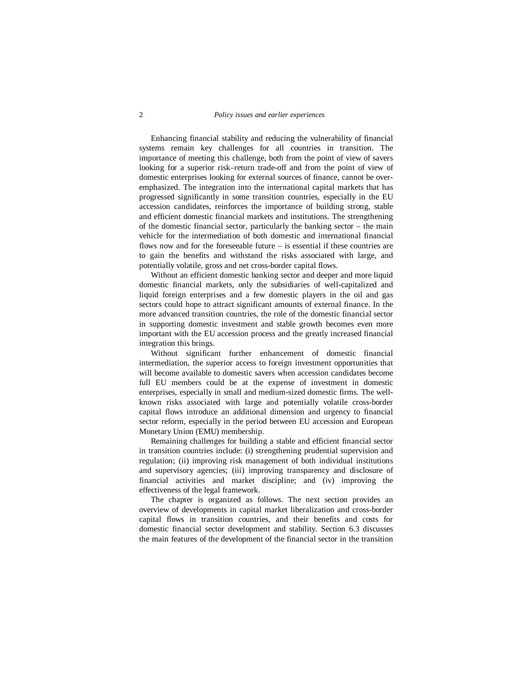## 2 *Policy issues and earlier experiences*

 Enhancing financial stability and reducing the vulnerability of financial systems remain key challenges for all countries in transition. The importance of meeting this challenge, both from the point of view of savers looking for a superior risk–return trade-off and from the point of view of domestic enterprises looking for external sources of finance, cannot be overemphasized. The integration into the international capital markets that has progressed significantly in some transition countries, especially in the EU accession candidates, reinforces the importance of building strong, stable and efficient domestic financial markets and institutions. The strengthening of the domestic financial sector, particularly the banking sector – the main vehicle for the intermediation of both domestic and international financial flows now and for the foreseeable future – is essential if these countries are to gain the benefits and withstand the risks associated with large, and potentially volatile, gross and net cross-border capital flows.

 Without an efficient domestic banking sector and deeper and more liquid domestic financial markets, only the subsidiaries of well-capitalized and liquid foreign enterprises and a few domestic players in the oil and gas sectors could hope to attract significant amounts of external finance. In the more advanced transition countries, the role of the domestic financial sector in supporting domestic investment and stable growth becomes even more important with the EU accession process and the greatly increased financial integration this brings.

 Without significant further enhancement of domestic financial intermediation, the superior access to foreign investment opportunities that will become available to domestic savers when accession candidates become full EU members could be at the expense of investment in domestic enterprises, especially in small and medium-sized domestic firms. The wellknown risks associated with large and potentially volatile cross-border capital flows introduce an additional dimension and urgency to financial sector reform, especially in the period between EU accession and European Monetary Union (EMU) membership.

 Remaining challenges for building a stable and efficient financial sector in transition countries include: (i) strengthening prudential supervision and regulation; (ii) improving risk management of both individual institutions and supervisory agencies; (iii) improving transparency and disclosure of financial activities and market discipline; and (iv) improving the effectiveness of the legal framework.

 The chapter is organized as follows. The next section provides an overview of developments in capital market liberalization and cross-border capital flows in transition countries, and their benefits and costs for domestic financial sector development and stability. Section 6.3 discusses the main features of the development of the financial sector in the transition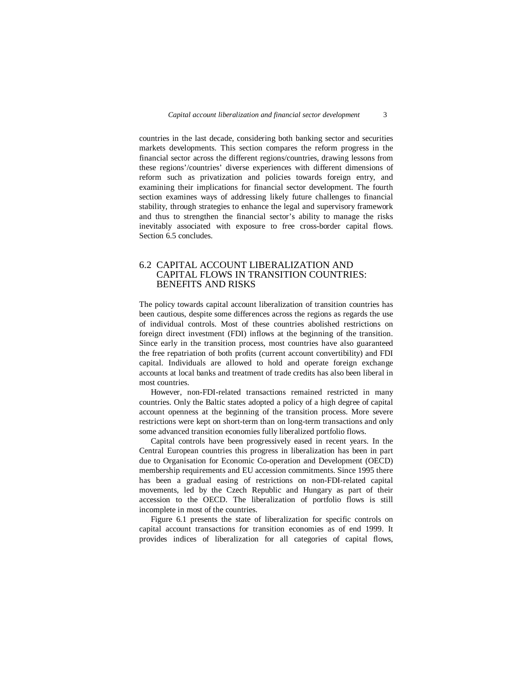countries in the last decade, considering both banking sector and securities markets developments. This section compares the reform progress in the financial sector across the different regions/countries, drawing lessons from these regions'/countries' diverse experiences with different dimensions of reform such as privatization and policies towards foreign entry, and examining their implications for financial sector development. The fourth section examines ways of addressing likely future challenges to financial stability, through strategies to enhance the legal and supervisory framework and thus to strengthen the financial sector's ability to manage the risks inevitably associated with exposure to free cross-border capital flows. Section 6.5 concludes.

## 6.2 CAPITAL ACCOUNT LIBERALIZATION AND CAPITAL FLOWS IN TRANSITION COUNTRIES: BENEFITS AND RISKS

The policy towards capital account liberalization of transition countries has been cautious, despite some differences across the regions as regards the use of individual controls. Most of these countries abolished restrictions on foreign direct investment (FDI) inflows at the beginning of the transition. Since early in the transition process, most countries have also guaranteed the free repatriation of both profits (current account convertibility) and FDI capital. Individuals are allowed to hold and operate foreign exchange accounts at local banks and treatment of trade credits has also been liberal in most countries.

 However, non-FDI-related transactions remained restricted in many countries. Only the Baltic states adopted a policy of a high degree of capital account openness at the beginning of the transition process. More severe restrictions were kept on short-term than on long-term transactions and only some advanced transition economies fully liberalized portfolio flows.

 Capital controls have been progressively eased in recent years. In the Central European countries this progress in liberalization has been in part due to Organisation for Economic Co-operation and Development (OECD) membership requirements and EU accession commitments. Since 1995 there has been a gradual easing of restrictions on non-FDI-related capital movements, led by the Czech Republic and Hungary as part of their accession to the OECD. The liberalization of portfolio flows is still incomplete in most of the countries.

 Figure 6.1 presents the state of liberalization for specific controls on capital account transactions for transition economies as of end 1999. It provides indices of liberalization for all categories of capital flows,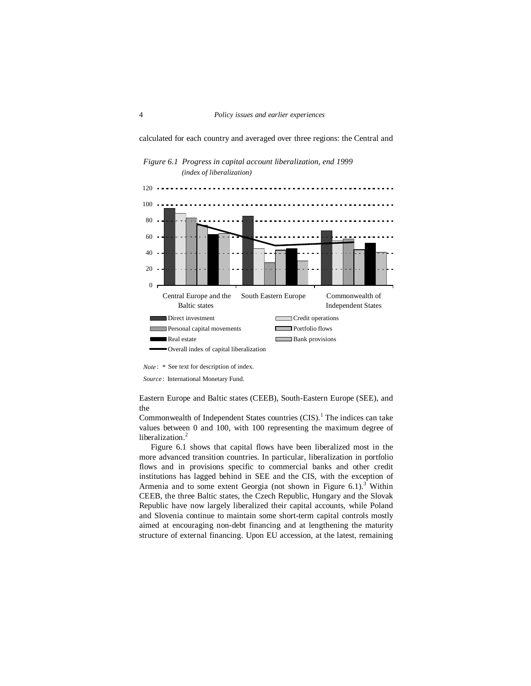calculated for each country and averaged over three regions: the Central and



*Figure 6.1 Progress in capital account liberalization, end 1999 (index of liberalization)*

*Note* : *\** See text for description of index.

*Source* : International Monetary Fund.

Eastern Europe and Baltic states (CEEB), South-Eastern Europe (SEE), and the

Commonwealth of Independent States countries  $(CIS)$ .<sup>1</sup> The indices can take values between 0 and 100, with 100 representing the maximum degree of liberalization.<sup>2</sup>

 Figure 6.1 shows that capital flows have been liberalized most in the more advanced transition countries. In particular, liberalization in portfolio flows and in provisions specific to commercial banks and other credit institutions has lagged behind in SEE and the CIS, with the exception of Armenia and to some extent Georgia (not shown in Figure 6.1).<sup>3</sup> Within CEEB, the three Baltic states, the Czech Republic, Hungary and the Slovak Republic have now largely liberalized their capital accounts, while Poland and Slovenia continue to maintain some short-term capital controls mostly aimed at encouraging non-debt financing and at lengthening the maturity structure of external financing. Upon EU accession, at the latest, remaining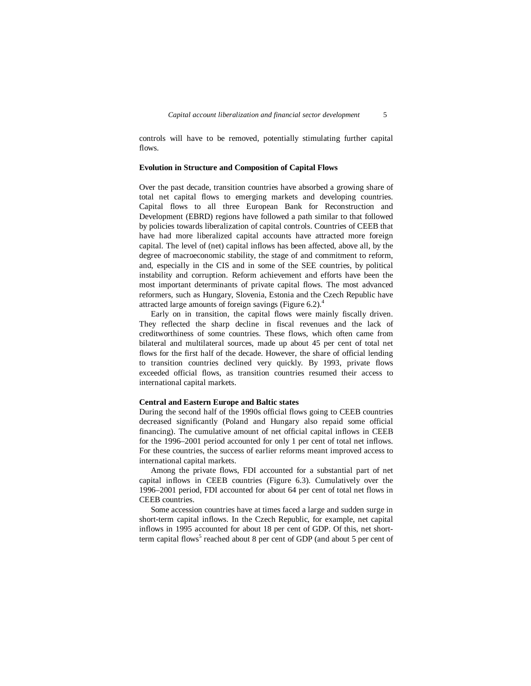controls will have to be removed, potentially stimulating further capital flows.

#### **Evolution in Structure and Composition of Capital Flows**

Over the past decade, transition countries have absorbed a growing share of total net capital flows to emerging markets and developing countries. Capital flows to all three European Bank for Reconstruction and Development (EBRD) regions have followed a path similar to that followed by policies towards liberalization of capital controls. Countries of CEEB that have had more liberalized capital accounts have attracted more foreign capital. The level of (net) capital inflows has been affected, above all, by the degree of macroeconomic stability, the stage of and commitment to reform, and, especially in the CIS and in some of the SEE countries, by political instability and corruption. Reform achievement and efforts have been the most important determinants of private capital flows. The most advanced reformers, such as Hungary, Slovenia, Estonia and the Czech Republic have attracted large amounts of foreign savings (Figure 6.2). $4$ 

 Early on in transition, the capital flows were mainly fiscally driven. They reflected the sharp decline in fiscal revenues and the lack of creditworthiness of some countries. These flows, which often came from bilateral and multilateral sources, made up about 45 per cent of total net flows for the first half of the decade. However, the share of official lending to transition countries declined very quickly. By 1993, private flows exceeded official flows, as transition countries resumed their access to international capital markets.

#### **Central and Eastern Europe and Baltic states**

During the second half of the 1990s official flows going to CEEB countries decreased significantly (Poland and Hungary also repaid some official financing). The cumulative amount of net official capital inflows in CEEB for the 1996–2001 period accounted for only 1 per cent of total net inflows. For these countries, the success of earlier reforms meant improved access to international capital markets.

 Among the private flows, FDI accounted for a substantial part of net capital inflows in CEEB countries (Figure 6.3). Cumulatively over the 1996–2001 period, FDI accounted for about 64 per cent of total net flows in CEEB countries.

 Some accession countries have at times faced a large and sudden surge in short-term capital inflows. In the Czech Republic, for example, net capital inflows in 1995 accounted for about 18 per cent of GDP. Of this, net shortterm capital flows<sup>5</sup> reached about 8 per cent of GDP (and about 5 per cent of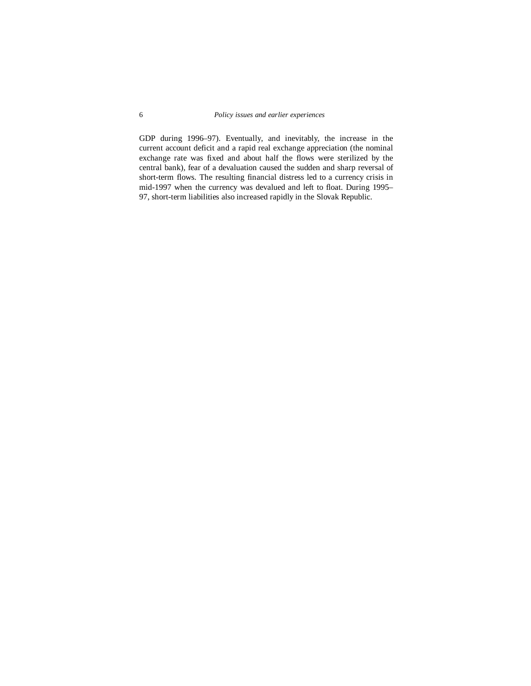GDP during 1996–97). Eventually, and inevitably, the increase in the current account deficit and a rapid real exchange appreciation (the nominal exchange rate was fixed and about half the flows were sterilized by the central bank), fear of a devaluation caused the sudden and sharp reversal of short-term flows. The resulting financial distress led to a currency crisis in mid-1997 when the currency was devalued and left to float. During 1995– 97, short-term liabilities also increased rapidly in the Slovak Republic.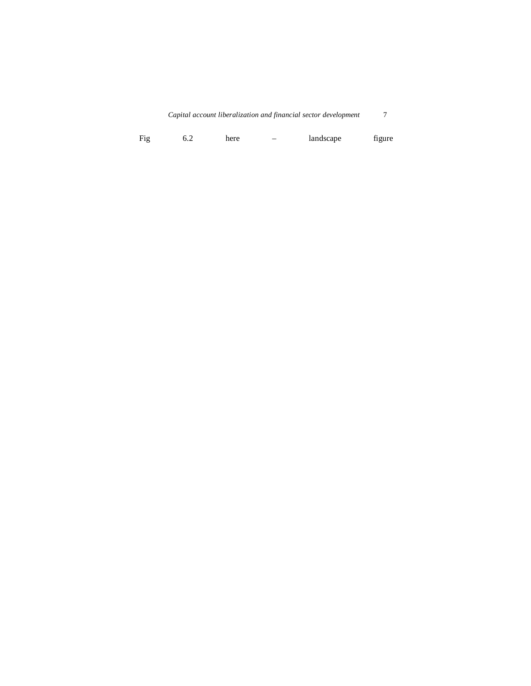| Capital account liberalization and financial sector development |  |  |
|-----------------------------------------------------------------|--|--|
|-----------------------------------------------------------------|--|--|

|  | Fig | 6.Z | here |  | landscape | figure |
|--|-----|-----|------|--|-----------|--------|
|--|-----|-----|------|--|-----------|--------|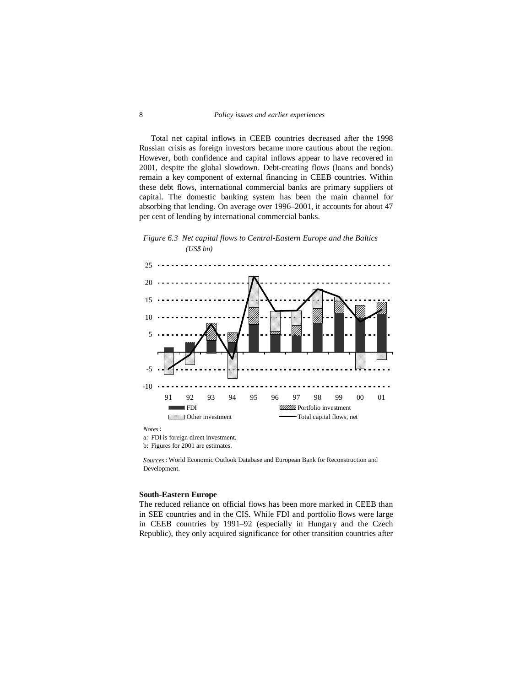## 8 *Policy issues and earlier experiences*

 Total net capital inflows in CEEB countries decreased after the 1998 Russian crisis as foreign investors became more cautious about the region. However, both confidence and capital inflows appear to have recovered in 2001, despite the global slowdown. Debt-creating flows (loans and bonds) remain a key component of external financing in CEEB countries. Within these debt flows, international commercial banks are primary suppliers of capital. The domestic banking system has been the main channel for absorbing that lending. On average over 1996–2001, it accounts for about 47 per cent of lending by international commercial banks.

## *Figure 6.3 Net capital flows to Central-Eastern Europe and the Baltics (US\$ bn)*



*Sources*: World Economic Outlook Database and European Bank for Reconstruction and Development.

#### **South-Eastern Europe**

The reduced reliance on official flows has been more marked in CEEB than in SEE countries and in the CIS. While FDI and portfolio flows were large in CEEB countries by 1991–92 (especially in Hungary and the Czech Republic), they only acquired significance for other transition countries after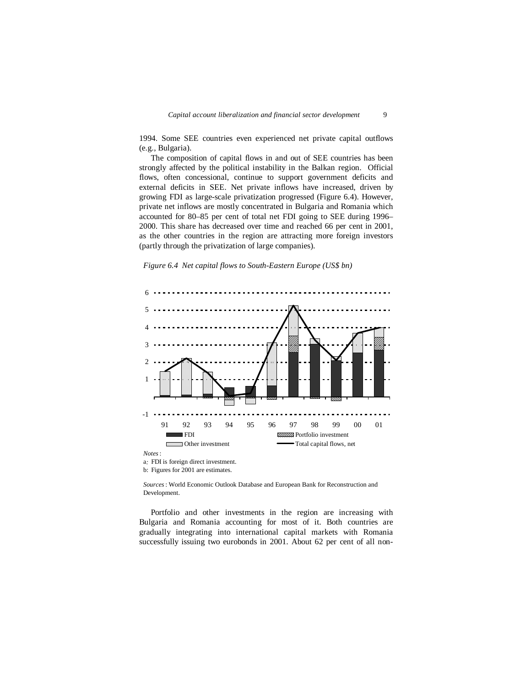1994. Some SEE countries even experienced net private capital outflows (e.g., Bulgaria).

 The composition of capital flows in and out of SEE countries has been strongly affected by the political instability in the Balkan region. Official flows, often concessional, continue to support government deficits and external deficits in SEE. Net private inflows have increased, driven by growing FDI as large-scale privatization progressed (Figure 6.4). However, private net inflows are mostly concentrated in Bulgaria and Romania which accounted for 80–85 per cent of total net FDI going to SEE during 1996– 2000. This share has decreased over time and reached 66 per cent in 2001, as the other countries in the region are attracting more foreign investors (partly through the privatization of large companies).





a*:* FDI is foreign direct investment. b: Figures for 2001 are estimates.

*Sources*: World Economic Outlook Database and European Bank for Reconstruction and Development.

 Portfolio and other investments in the region are increasing with Bulgaria and Romania accounting for most of it. Both countries are gradually integrating into international capital markets with Romania successfully issuing two eurobonds in 2001. About 62 per cent of all non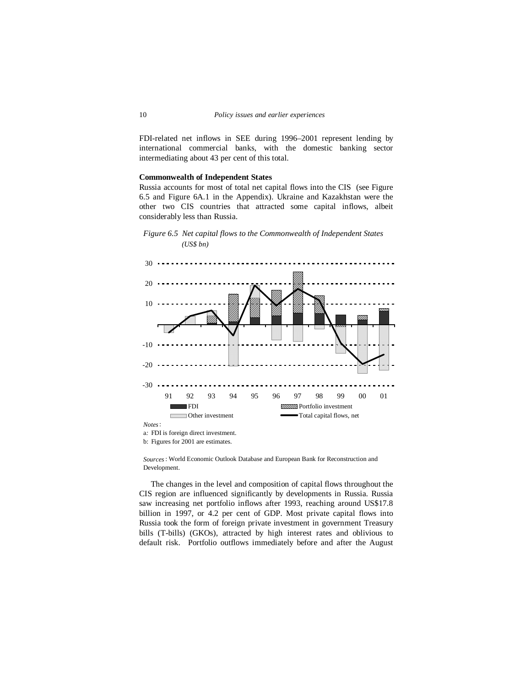FDI-related net inflows in SEE during 1996–2001 represent lending by international commercial banks, with the domestic banking sector intermediating about 43 per cent of this total.

#### **Commonwealth of Independent States**

Russia accounts for most of total net capital flows into the CIS (see Figure 6.5 and Figure 6A.1 in the Appendix). Ukraine and Kazakhstan were the other two CIS countries that attracted some capital inflows, albeit considerably less than Russia.





*Sources*: World Economic Outlook Database and European Bank for Reconstruction and Development.

 The changes in the level and composition of capital flows throughout the CIS region are influenced significantly by developments in Russia. Russia saw increasing net portfolio inflows after 1993, reaching around US\$17.8 billion in 1997, or 4.2 per cent of GDP. Most private capital flows into Russia took the form of foreign private investment in government Treasury bills (T-bills) (GKOs), attracted by high interest rates and oblivious to default risk. Portfolio outflows immediately before and after the August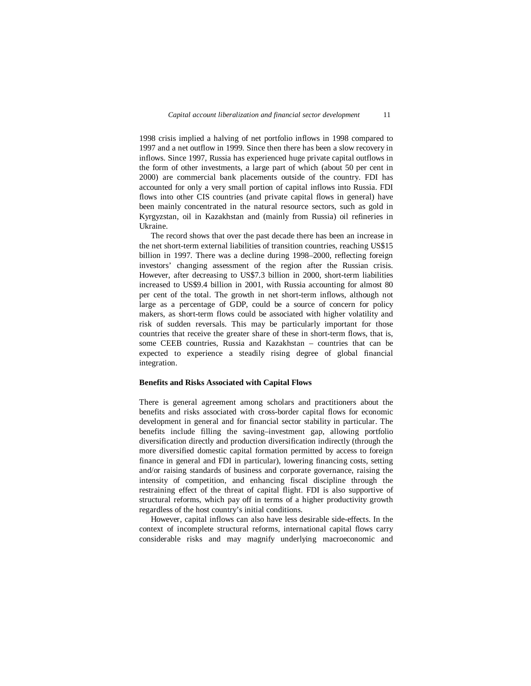1998 crisis implied a halving of net portfolio inflows in 1998 compared to 1997 and a net outflow in 1999. Since then there has been a slow recovery in inflows. Since 1997, Russia has experienced huge private capital outflows in the form of other investments, a large part of which (about 50 per cent in 2000) are commercial bank placements outside of the country. FDI has accounted for only a very small portion of capital inflows into Russia. FDI flows into other CIS countries (and private capital flows in general) have been mainly concentrated in the natural resource sectors, such as gold in Kyrgyzstan, oil in Kazakhstan and (mainly from Russia) oil refineries in Ukraine.

 The record shows that over the past decade there has been an increase in the net short-term external liabilities of transition countries, reaching US\$15 billion in 1997. There was a decline during 1998–2000, reflecting foreign investors' changing assessment of the region after the Russian crisis. However, after decreasing to US\$7.3 billion in 2000, short-term liabilities increased to US\$9.4 billion in 2001, with Russia accounting for almost 80 per cent of the total. The growth in net short-term inflows, although not large as a percentage of GDP, could be a source of concern for policy makers, as short-term flows could be associated with higher volatility and risk of sudden reversals. This may be particularly important for those countries that receive the greater share of these in short-term flows, that is, some CEEB countries, Russia and Kazakhstan – countries that can be expected to experience a steadily rising degree of global financial integration.

#### **Benefits and Risks Associated with Capital Flows**

There is general agreement among scholars and practitioners about the benefits and risks associated with cross-border capital flows for economic development in general and for financial sector stability in particular. The benefits include filling the saving–investment gap, allowing portfolio diversification directly and production diversification indirectly (through the more diversified domestic capital formation permitted by access to foreign finance in general and FDI in particular), lowering financing costs, setting and/or raising standards of business and corporate governance, raising the intensity of competition, and enhancing fiscal discipline through the restraining effect of the threat of capital flight. FDI is also supportive of structural reforms, which pay off in terms of a higher productivity growth regardless of the host country's initial conditions.

 However, capital inflows can also have less desirable side-effects. In the context of incomplete structural reforms, international capital flows carry considerable risks and may magnify underlying macroeconomic and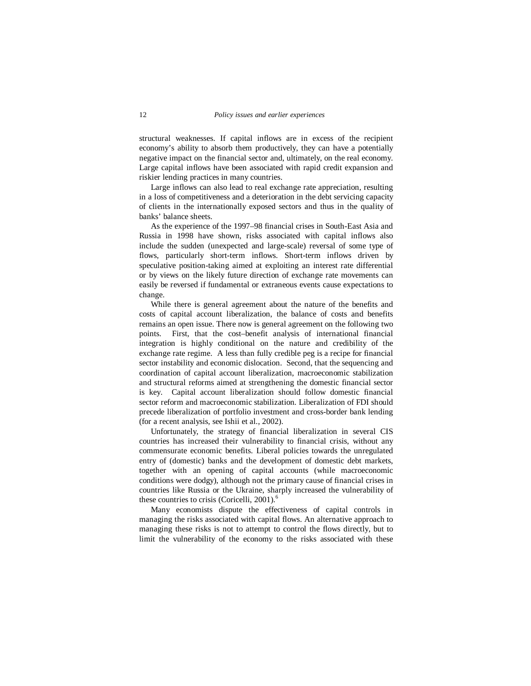structural weaknesses. If capital inflows are in excess of the recipient economy's ability to absorb them productively, they can have a potentially negative impact on the financial sector and, ultimately, on the real economy. Large capital inflows have been associated with rapid credit expansion and riskier lending practices in many countries.

 Large inflows can also lead to real exchange rate appreciation, resulting in a loss of competitiveness and a deterioration in the debt servicing capacity of clients in the internationally exposed sectors and thus in the quality of banks' balance sheets.

 As the experience of the 1997–98 financial crises in South-East Asia and Russia in 1998 have shown, risks associated with capital inflows also include the sudden (unexpected and large-scale) reversal of some type of flows, particularly short-term inflows. Short-term inflows driven by speculative position-taking aimed at exploiting an interest rate differential or by views on the likely future direction of exchange rate movements can easily be reversed if fundamental or extraneous events cause expectations to change.

 While there is general agreement about the nature of the benefits and costs of capital account liberalization, the balance of costs and benefits remains an open issue. There now is general agreement on the following two points. First, that the cost–benefit analysis of international financial integration is highly conditional on the nature and credibility of the exchange rate regime. A less than fully credible peg is a recipe for financial sector instability and economic dislocation. Second, that the sequencing and coordination of capital account liberalization, macroeconomic stabilization and structural reforms aimed at strengthening the domestic financial sector is key. Capital account liberalization should follow domestic financial sector reform and macroeconomic stabilization. Liberalization of FDI should precede liberalization of portfolio investment and cross-border bank lending (for a recent analysis, see Ishii et al., 2002).

 Unfortunately, the strategy of financial liberalization in several CIS countries has increased their vulnerability to financial crisis, without any commensurate economic benefits. Liberal policies towards the unregulated entry of (domestic) banks and the development of domestic debt markets, together with an opening of capital accounts (while macroeconomic conditions were dodgy), although not the primary cause of financial crises in countries like Russia or the Ukraine, sharply increased the vulnerability of these countries to crisis (Coricelli, 2001).<sup>6</sup>

 Many economists dispute the effectiveness of capital controls in managing the risks associated with capital flows. An alternative approach to managing these risks is not to attempt to control the flows directly, but to limit the vulnerability of the economy to the risks associated with these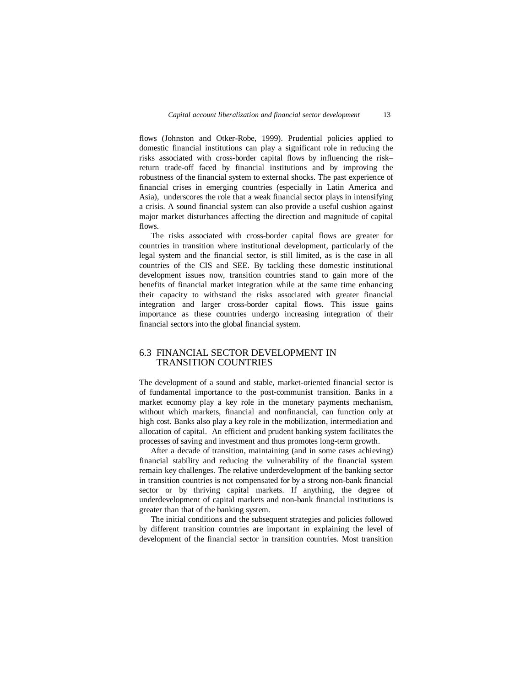flows (Johnston and Otker-Robe, 1999). Prudential policies applied to domestic financial institutions can play a significant role in reducing the risks associated with cross-border capital flows by influencing the risk– return trade-off faced by financial institutions and by improving the robustness of the financial system to external shocks. The past experience of financial crises in emerging countries (especially in Latin America and Asia), underscores the role that a weak financial sector plays in intensifying a crisis. A sound financial system can also provide a useful cushion against major market disturbances affecting the direction and magnitude of capital flows.

 The risks associated with cross-border capital flows are greater for countries in transition where institutional development, particularly of the legal system and the financial sector, is still limited, as is the case in all countries of the CIS and SEE. By tackling these domestic institutional development issues now, transition countries stand to gain more of the benefits of financial market integration while at the same time enhancing their capacity to withstand the risks associated with greater financial integration and larger cross-border capital flows. This issue gains importance as these countries undergo increasing integration of their financial sectors into the global financial system.

## 6.3 FINANCIAL SECTOR DEVELOPMENT IN TRANSITION COUNTRIES

The development of a sound and stable, market-oriented financial sector is of fundamental importance to the post-communist transition. Banks in a market economy play a key role in the monetary payments mechanism, without which markets, financial and nonfinancial, can function only at high cost. Banks also play a key role in the mobilization, intermediation and allocation of capital. An efficient and prudent banking system facilitates the processes of saving and investment and thus promotes long-term growth.

 After a decade of transition, maintaining (and in some cases achieving) financial stability and reducing the vulnerability of the financial system remain key challenges. The relative underdevelopment of the banking sector in transition countries is not compensated for by a strong non-bank financial sector or by thriving capital markets. If anything, the degree of underdevelopment of capital markets and non-bank financial institutions is greater than that of the banking system.

 The initial conditions and the subsequent strategies and policies followed by different transition countries are important in explaining the level of development of the financial sector in transition countries. Most transition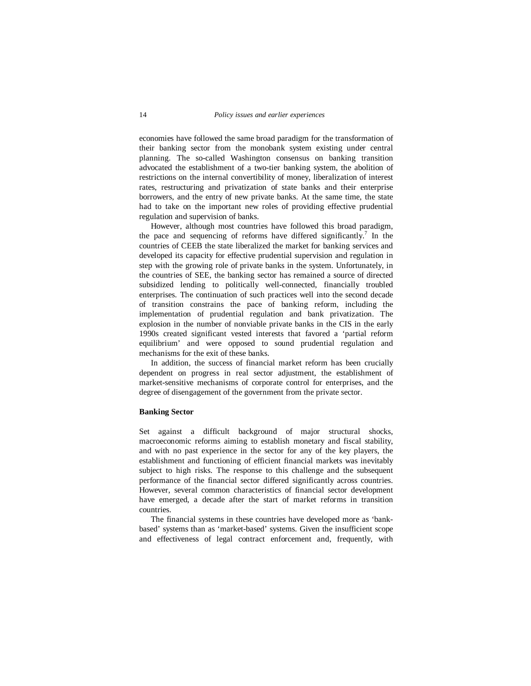economies have followed the same broad paradigm for the transformation of their banking sector from the monobank system existing under central planning. The so-called Washington consensus on banking transition advocated the establishment of a two-tier banking system, the abolition of restrictions on the internal convertibility of money, liberalization of interest rates, restructuring and privatization of state banks and their enterprise borrowers, and the entry of new private banks. At the same time, the state had to take on the important new roles of providing effective prudential regulation and supervision of banks.

 However, although most countries have followed this broad paradigm, the pace and sequencing of reforms have differed significantly.<sup>7</sup> In the countries of CEEB the state liberalized the market for banking services and developed its capacity for effective prudential supervision and regulation in step with the growing role of private banks in the system. Unfortunately, in the countries of SEE, the banking sector has remained a source of directed subsidized lending to politically well-connected, financially troubled enterprises. The continuation of such practices well into the second decade of transition constrains the pace of banking reform, including the implementation of prudential regulation and bank privatization. The explosion in the number of nonviable private banks in the CIS in the early 1990s created significant vested interests that favored a 'partial reform equilibrium' and were opposed to sound prudential regulation and mechanisms for the exit of these banks.

 In addition, the success of financial market reform has been crucially dependent on progress in real sector adjustment, the establishment of market-sensitive mechanisms of corporate control for enterprises, and the degree of disengagement of the government from the private sector.

#### **Banking Sector**

Set against a difficult background of major structural shocks, macroeconomic reforms aiming to establish monetary and fiscal stability, and with no past experience in the sector for any of the key players, the establishment and functioning of efficient financial markets was inevitably subject to high risks. The response to this challenge and the subsequent performance of the financial sector differed significantly across countries. However, several common characteristics of financial sector development have emerged, a decade after the start of market reforms in transition countries.

 The financial systems in these countries have developed more as 'bankbased' systems than as 'market-based' systems. Given the insufficient scope and effectiveness of legal contract enforcement and, frequently, with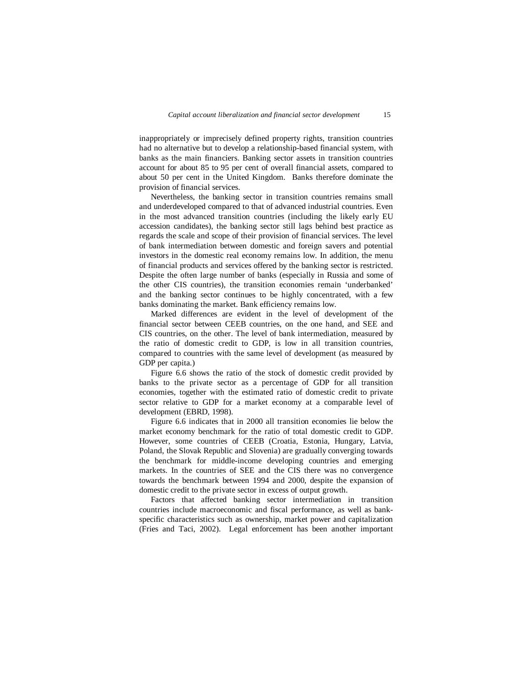inappropriately or imprecisely defined property rights, transition countries had no alternative but to develop a relationship-based financial system, with banks as the main financiers. Banking sector assets in transition countries account for about 85 to 95 per cent of overall financial assets, compared to about 50 per cent in the United Kingdom. Banks therefore dominate the provision of financial services.

 Nevertheless, the banking sector in transition countries remains small and underdeveloped compared to that of advanced industrial countries. Even in the most advanced transition countries (including the likely early EU accession candidates), the banking sector still lags behind best practice as regards the scale and scope of their provision of financial services. The level of bank intermediation between domestic and foreign savers and potential investors in the domestic real economy remains low. In addition, the menu of financial products and services offered by the banking sector is restricted. Despite the often large number of banks (especially in Russia and some of the other CIS countries), the transition economies remain 'underbanked' and the banking sector continues to be highly concentrated, with a few banks dominating the market. Bank efficiency remains low.

 Marked differences are evident in the level of development of the financial sector between CEEB countries, on the one hand, and SEE and CIS countries, on the other. The level of bank intermediation, measured by the ratio of domestic credit to GDP, is low in all transition countries, compared to countries with the same level of development (as measured by GDP per capita.)

 Figure 6.6 shows the ratio of the stock of domestic credit provided by banks to the private sector as a percentage of GDP for all transition economies, together with the estimated ratio of domestic credit to private sector relative to GDP for a market economy at a comparable level of development (EBRD, 1998).

 Figure 6.6 indicates that in 2000 all transition economies lie below the market economy benchmark for the ratio of total domestic credit to GDP. However, some countries of CEEB (Croatia, Estonia, Hungary, Latvia, Poland, the Slovak Republic and Slovenia) are gradually converging towards the benchmark for middle-income developing countries and emerging markets. In the countries of SEE and the CIS there was no convergence towards the benchmark between 1994 and 2000, despite the expansion of domestic credit to the private sector in excess of output growth.

 Factors that affected banking sector intermediation in transition countries include macroeconomic and fiscal performance, as well as bankspecific characteristics such as ownership, market power and capitalization (Fries and Taci, 2002). Legal enforcement has been another important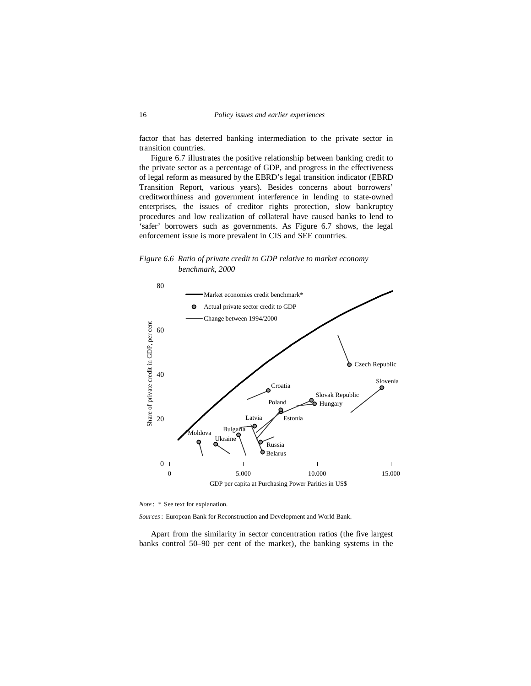factor that has deterred banking intermediation to the private sector in transition countries.

 Figure 6.7 illustrates the positive relationship between banking credit to the private sector as a percentage of GDP, and progress in the effectiveness of legal reform as measured by the EBRD's legal transition indicator (EBRD Transition Report, various years). Besides concerns about borrowers' creditworthiness and government interference in lending to state-owned enterprises, the issues of creditor rights protection, slow bankruptcy procedures and low realization of collateral have caused banks to lend to 'safer' borrowers such as governments. As Figure 6.7 shows, the legal enforcement issue is more prevalent in CIS and SEE countries.

*Figure 6.6 Ratio of private credit to GDP relative to market economy benchmark, 2000*



*Note* : *\** See text for explanation.

*Sources*: European Bank for Reconstruction and Development and World Bank.

 Apart from the similarity in sector concentration ratios (the five largest banks control 50–90 per cent of the market), the banking systems in the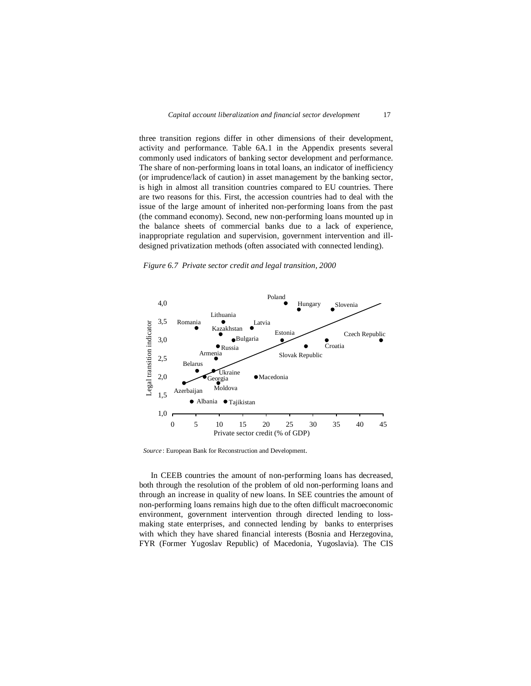three transition regions differ in other dimensions of their development, activity and performance. Table 6A.1 in the Appendix presents several commonly used indicators of banking sector development and performance. The share of non-performing loans in total loans, an indicator of inefficiency (or imprudence/lack of caution) in asset management by the banking sector, is high in almost all transition countries compared to EU countries. There are two reasons for this. First, the accession countries had to deal with the issue of the large amount of inherited non-performing loans from the past (the command economy). Second, new non-performing loans mounted up in the balance sheets of commercial banks due to a lack of experience, inappropriate regulation and supervision, government intervention and illdesigned privatization methods (often associated with connected lending).

*Figure 6.7 Private sector credit and legal transition, 2000*



*Source* : European Bank for Reconstruction and Development.

 In CEEB countries the amount of non-performing loans has decreased, both through the resolution of the problem of old non-performing loans and through an increase in quality of new loans. In SEE countries the amount of non-performing loans remains high due to the often difficult macroeconomic environment, government intervention through directed lending to lossmaking state enterprises, and connected lending by banks to enterprises with which they have shared financial interests (Bosnia and Herzegovina, FYR (Former Yugoslav Republic) of Macedonia, Yugoslavia). The CIS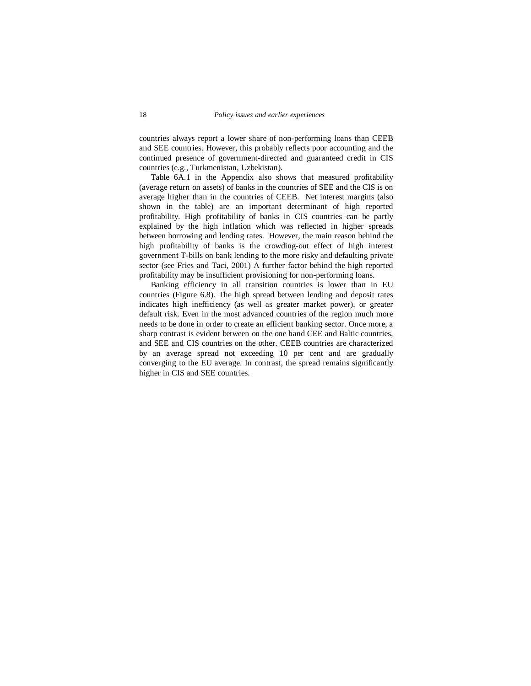countries always report a lower share of non-performing loans than CEEB and SEE countries. However, this probably reflects poor accounting and the continued presence of government-directed and guaranteed credit in CIS countries (e.g., Turkmenistan, Uzbekistan).

 Table 6A.1 in the Appendix also shows that measured profitability (average return on assets) of banks in the countries of SEE and the CIS is on average higher than in the countries of CEEB. Net interest margins (also shown in the table) are an important determinant of high reported profitability. High profitability of banks in CIS countries can be partly explained by the high inflation which was reflected in higher spreads between borrowing and lending rates. However, the main reason behind the high profitability of banks is the crowding-out effect of high interest government T-bills on bank lending to the more risky and defaulting private sector (see Fries and Taci, 2001) A further factor behind the high reported profitability may be insufficient provisioning for non-performing loans.

 Banking efficiency in all transition countries is lower than in EU countries (Figure 6.8). The high spread between lending and deposit rates indicates high inefficiency (as well as greater market power), or greater default risk. Even in the most advanced countries of the region much more needs to be done in order to create an efficient banking sector. Once more, a sharp contrast is evident between on the one hand CEE and Baltic countries, and SEE and CIS countries on the other. CEEB countries are characterized by an average spread not exceeding 10 per cent and are gradually converging to the EU average. In contrast, the spread remains significantly higher in CIS and SEE countries.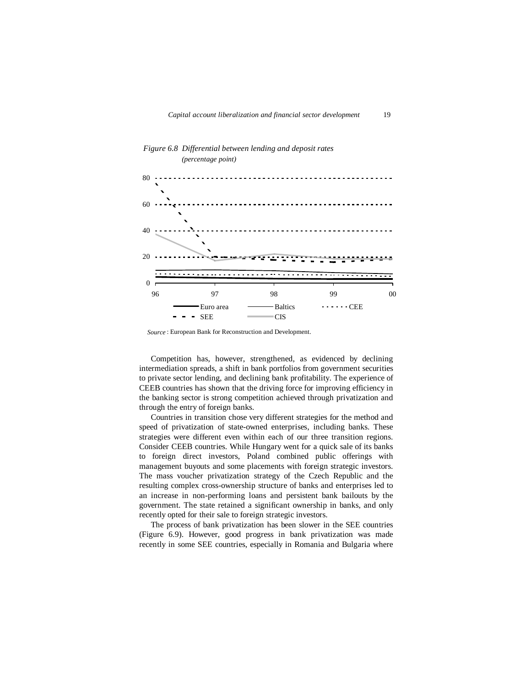

## *Figure 6.8 Differential between lending and deposit rates (percentage point)*

*Source* : European Bank for Reconstruction and Development.

 Competition has, however, strengthened, as evidenced by declining intermediation spreads, a shift in bank portfolios from government securities to private sector lending, and declining bank profitability. The experience of CEEB countries has shown that the driving force for improving efficiency in the banking sector is strong competition achieved through privatization and through the entry of foreign banks.

 Countries in transition chose very different strategies for the method and speed of privatization of state-owned enterprises, including banks. These strategies were different even within each of our three transition regions. Consider CEEB countries. While Hungary went for a quick sale of its banks to foreign direct investors, Poland combined public offerings with management buyouts and some placements with foreign strategic investors. The mass voucher privatization strategy of the Czech Republic and the resulting complex cross-ownership structure of banks and enterprises led to an increase in non-performing loans and persistent bank bailouts by the government. The state retained a significant ownership in banks, and only recently opted for their sale to foreign strategic investors.

 The process of bank privatization has been slower in the SEE countries (Figure 6.9). However, good progress in bank privatization was made recently in some SEE countries, especially in Romania and Bulgaria where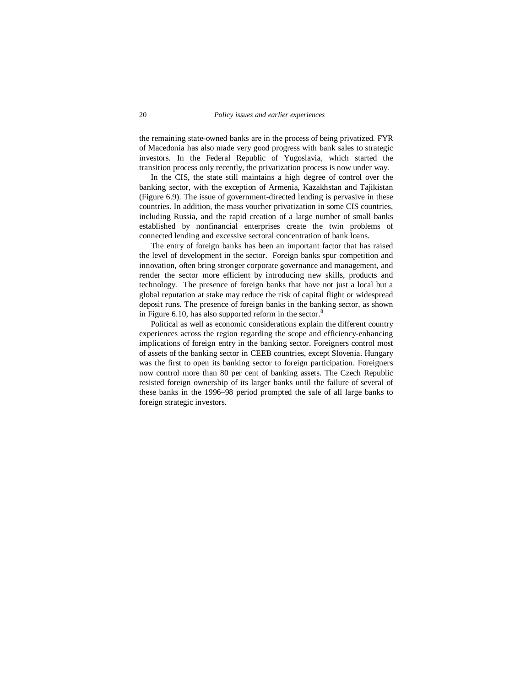the remaining state-owned banks are in the process of being privatized. FYR of Macedonia has also made very good progress with bank sales to strategic investors. In the Federal Republic of Yugoslavia, which started the transition process only recently, the privatization process is now under way.

 In the CIS, the state still maintains a high degree of control over the banking sector, with the exception of Armenia, Kazakhstan and Tajikistan (Figure 6.9). The issue of government-directed lending is pervasive in these countries. In addition, the mass voucher privatization in some CIS countries, including Russia, and the rapid creation of a large number of small banks established by nonfinancial enterprises create the twin problems of connected lending and excessive sectoral concentration of bank loans.

 The entry of foreign banks has been an important factor that has raised the level of development in the sector. Foreign banks spur competition and innovation, often bring stronger corporate governance and management, and render the sector more efficient by introducing new skills, products and technology. The presence of foreign banks that have not just a local but a global reputation at stake may reduce the risk of capital flight or widespread deposit runs. The presence of foreign banks in the banking sector, as shown in Figure 6.10, has also supported reform in the sector.<sup>8</sup>

 Political as well as economic considerations explain the different country experiences across the region regarding the scope and efficiency-enhancing implications of foreign entry in the banking sector. Foreigners control most of assets of the banking sector in CEEB countries, except Slovenia. Hungary was the first to open its banking sector to foreign participation. Foreigners now control more than 80 per cent of banking assets. The Czech Republic resisted foreign ownership of its larger banks until the failure of several of these banks in the 1996–98 period prompted the sale of all large banks to foreign strategic investors.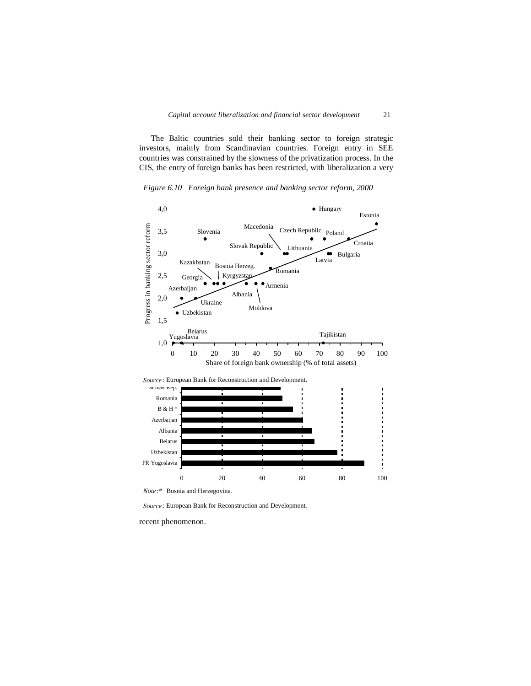The Baltic countries sold their banking sector to foreign strategic investors, mainly from Scandinavian countries. Foreign entry in SEE countries was constrained by the slowness of the privatization process. In the CIS, the entry of foreign banks has been restricted, with liberalization a very

*Figure 6.9 State ownership in the banking sector Figure 6.10 Foreign bank presence and banking sector reform, 2000* 



*Source* : European Bank for Reconstruction and Development.

recent phenomenon.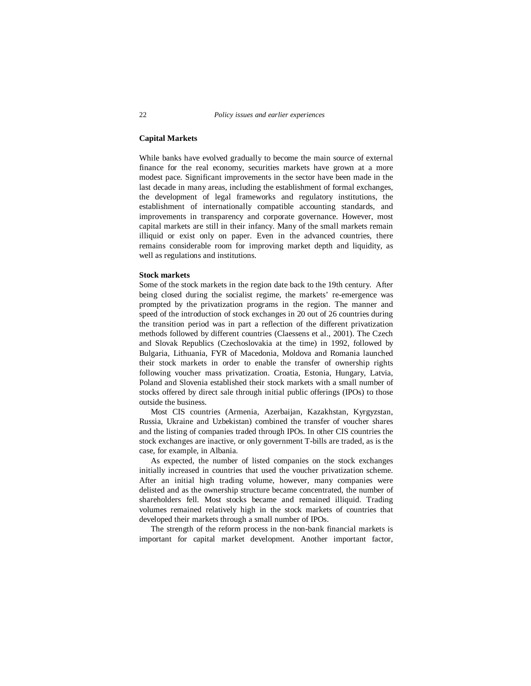## **Capital Markets**

While banks have evolved gradually to become the main source of external finance for the real economy, securities markets have grown at a more modest pace. Significant improvements in the sector have been made in the last decade in many areas, including the establishment of formal exchanges, the development of legal frameworks and regulatory institutions, the establishment of internationally compatible accounting standards, and improvements in transparency and corporate governance. However, most capital markets are still in their infancy. Many of the small markets remain illiquid or exist only on paper. Even in the advanced countries, there remains considerable room for improving market depth and liquidity, as well as regulations and institutions.

#### **Stock markets**

Some of the stock markets in the region date back to the 19th century. After being closed during the socialist regime, the markets' re-emergence was prompted by the privatization programs in the region. The manner and speed of the introduction of stock exchanges in 20 out of 26 countries during the transition period was in part a reflection of the different privatization methods followed by different countries (Claessens et al., 2001). The Czech and Slovak Republics (Czechoslovakia at the time) in 1992, followed by Bulgaria, Lithuania, FYR of Macedonia, Moldova and Romania launched their stock markets in order to enable the transfer of ownership rights following voucher mass privatization. Croatia, Estonia, Hungary, Latvia, Poland and Slovenia established their stock markets with a small number of stocks offered by direct sale through initial public offerings (IPOs) to those outside the business.

 Most CIS countries (Armenia, Azerbaijan, Kazakhstan, Kyrgyzstan, Russia, Ukraine and Uzbekistan) combined the transfer of voucher shares and the listing of companies traded through IPOs. In other CIS countries the stock exchanges are inactive, or only government T-bills are traded, as is the case, for example, in Albania.

 As expected, the number of listed companies on the stock exchanges initially increased in countries that used the voucher privatization scheme. After an initial high trading volume, however, many companies were delisted and as the ownership structure became concentrated, the number of shareholders fell. Most stocks became and remained illiquid. Trading volumes remained relatively high in the stock markets of countries that developed their markets through a small number of IPOs.

 The strength of the reform process in the non-bank financial markets is important for capital market development. Another important factor,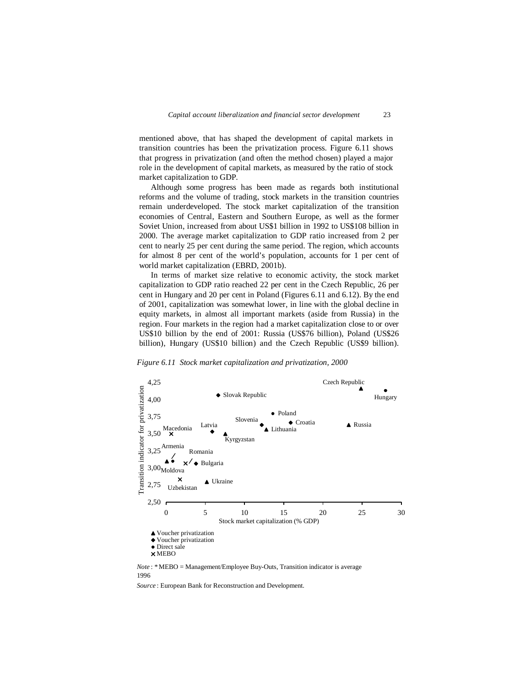mentioned above, that has shaped the development of capital markets in transition countries has been the privatization process. Figure 6.11 shows that progress in privatization (and often the method chosen) played a major role in the development of capital markets, as measured by the ratio of stock market capitalization to GDP.

 Although some progress has been made as regards both institutional reforms and the volume of trading, stock markets in the transition countries remain underdeveloped. The stock market capitalization of the transition economies of Central, Eastern and Southern Europe, as well as the former Soviet Union, increased from about US\$1 billion in 1992 to US\$108 billion in 2000. The average market capitalization to GDP ratio increased from 2 per cent to nearly 25 per cent during the same period. The region, which accounts for almost 8 per cent of the world's population, accounts for 1 per cent of world market capitalization (EBRD, 2001b).

 In terms of market size relative to economic activity, the stock market capitalization to GDP ratio reached 22 per cent in the Czech Republic, 26 per cent in Hungary and 20 per cent in Poland (Figures 6.11 and 6.12). By the end of 2001, capitalization was somewhat lower, in line with the global decline in equity markets, in almost all important markets (aside from Russia) in the region. Four markets in the region had a market capitalization close to or over US\$10 billion by the end of 2001: Russia (US\$76 billion), Poland (US\$26 billion), Hungary (US\$10 billion) and the Czech Republic (US\$9 billion).

Figure 6.11 Stock market capitalization and privatization, 2000



1996

*Source* : European Bank for Reconstruction and Development.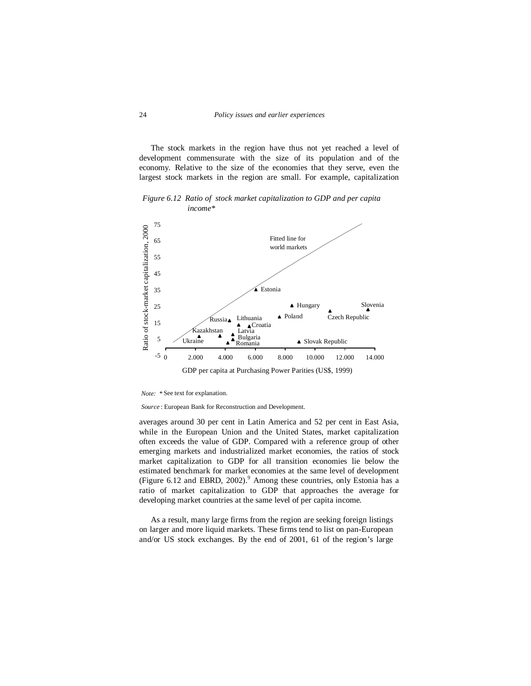The stock markets in the region have thus not yet reached a level of development commensurate with the size of its population and of the economy. Relative to the size of the economies that they serve, even the largest stock markets in the region are small. For example, capitalization

65 75  *income\** Fitted line for world markets

*Figure 6.12 Ratio of stock market capitalization to GDP and per capita* 



*Note: \** See text for explanation.

*Source* : European Bank for Reconstruction and Development.

averages around 30 per cent in Latin America and 52 per cent in East Asia, while in the European Union and the United States, market capitalization often exceeds the value of GDP. Compared with a reference group of other emerging markets and industrialized market economies, the ratios of stock market capitalization to GDP for all transition economies lie below the estimated benchmark for market economies at the same level of development (Figure 6.12 and EBRD,  $2002$ ).<sup>9</sup> Among these countries, only Estonia has a ratio of market capitalization to GDP that approaches the average for developing market countries at the same level of per capita income.

 As a result, many large firms from the region are seeking foreign listings on larger and more liquid markets. These firms tend to list on pan-European and/or US stock exchanges. By the end of 2001, 61 of the region's large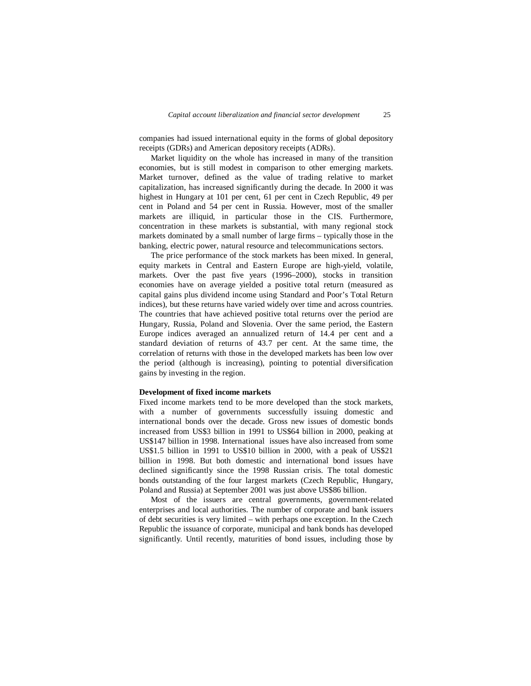companies had issued international equity in the forms of global depository receipts (GDRs) and American depository receipts (ADRs).

 Market liquidity on the whole has increased in many of the transition economies, but is still modest in comparison to other emerging markets. Market turnover, defined as the value of trading relative to market capitalization, has increased significantly during the decade. In 2000 it was highest in Hungary at 101 per cent, 61 per cent in Czech Republic, 49 per cent in Poland and 54 per cent in Russia. However, most of the smaller markets are illiquid, in particular those in the CIS. Furthermore, concentration in these markets is substantial, with many regional stock markets dominated by a small number of large firms – typically those in the banking, electric power, natural resource and telecommunications sectors.

 The price performance of the stock markets has been mixed. In general, equity markets in Central and Eastern Europe are high-yield, volatile, markets. Over the past five years (1996–2000), stocks in transition economies have on average yielded a positive total return (measured as capital gains plus dividend income using Standard and Poor's Total Return indices), but these returns have varied widely over time and across countries. The countries that have achieved positive total returns over the period are Hungary, Russia, Poland and Slovenia. Over the same period, the Eastern Europe indices averaged an annualized return of 14.4 per cent and a standard deviation of returns of 43.7 per cent. At the same time, the correlation of returns with those in the developed markets has been low over the period (although is increasing), pointing to potential diversification gains by investing in the region.

#### **Development of fixed income markets**

Fixed income markets tend to be more developed than the stock markets, with a number of governments successfully issuing domestic and international bonds over the decade. Gross new issues of domestic bonds increased from US\$3 billion in 1991 to US\$64 billion in 2000, peaking at US\$147 billion in 1998. International issues have also increased from some US\$1.5 billion in 1991 to US\$10 billion in 2000, with a peak of US\$21 billion in 1998. But both domestic and international bond issues have declined significantly since the 1998 Russian crisis. The total domestic bonds outstanding of the four largest markets (Czech Republic, Hungary, Poland and Russia) at September 2001 was just above US\$86 billion.

Most of the issuers are central governments, government-related enterprises and local authorities. The number of corporate and bank issuers of debt securities is very limited – with perhaps one exception. In the Czech Republic the issuance of corporate, municipal and bank bonds has developed significantly. Until recently, maturities of bond issues, including those by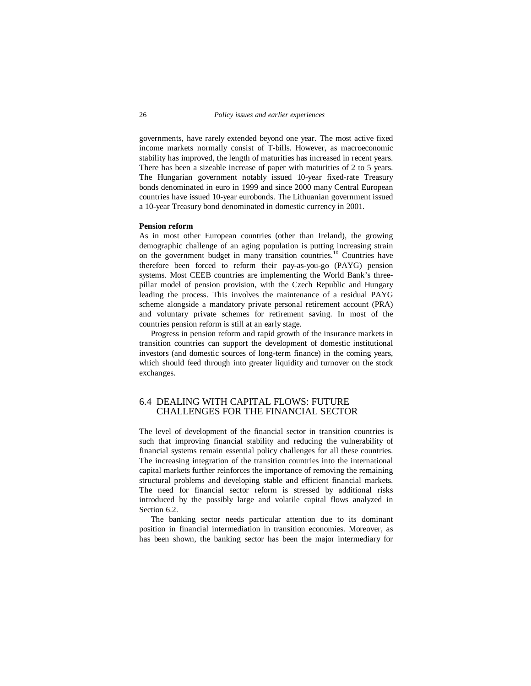governments, have rarely extended beyond one year. The most active fixed income markets normally consist of T-bills. However, as macroeconomic stability has improved, the length of maturities has increased in recent years. There has been a sizeable increase of paper with maturities of 2 to 5 years. The Hungarian government notably issued 10-year fixed-rate Treasury bonds denominated in euro in 1999 and since 2000 many Central European countries have issued 10-year eurobonds. The Lithuanian government issued a 10-year Treasury bond denominated in domestic currency in 2001.

#### **Pension reform**

As in most other European countries (other than Ireland), the growing demographic challenge of an aging population is putting increasing strain on the government budget in many transition countries.10 Countries have therefore been forced to reform their pay-as-you-go (PAYG) pension systems. Most CEEB countries are implementing the World Bank's threepillar model of pension provision, with the Czech Republic and Hungary leading the process. This involves the maintenance of a residual PAYG scheme alongside a mandatory private personal retirement account (PRA) and voluntary private schemes for retirement saving. In most of the countries pension reform is still at an early stage.

Progress in pension reform and rapid growth of the insurance markets in transition countries can support the development of domestic institutional investors (and domestic sources of long-term finance) in the coming years, which should feed through into greater liquidity and turnover on the stock exchanges.

## 6.4 DEALING WITH CAPITAL FLOWS: FUTURE CHALLENGES FOR THE FINANCIAL SECTOR

The level of development of the financial sector in transition countries is such that improving financial stability and reducing the vulnerability of financial systems remain essential policy challenges for all these countries. The increasing integration of the transition countries into the international capital markets further reinforces the importance of removing the remaining structural problems and developing stable and efficient financial markets. The need for financial sector reform is stressed by additional risks introduced by the possibly large and volatile capital flows analyzed in Section 6.2.

 The banking sector needs particular attention due to its dominant position in financial intermediation in transition economies. Moreover, as has been shown, the banking sector has been the major intermediary for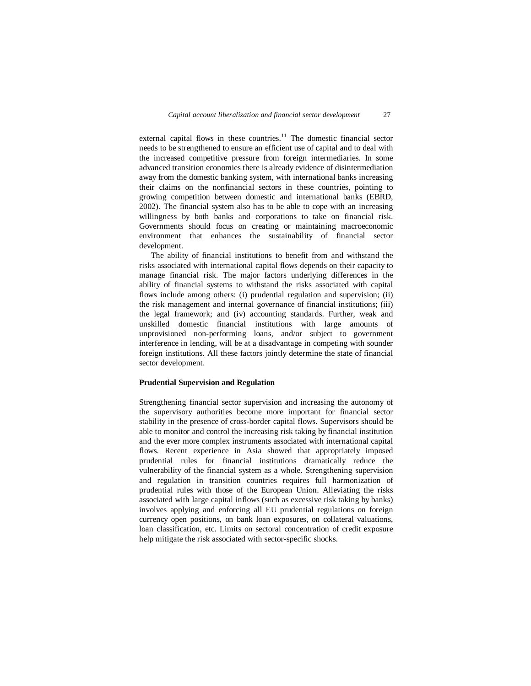external capital flows in these countries. $11$  The domestic financial sector needs to be strengthened to ensure an efficient use of capital and to deal with the increased competitive pressure from foreign intermediaries. In some advanced transition economies there is already evidence of disintermediation away from the domestic banking system, with international banks increasing their claims on the nonfinancial sectors in these countries, pointing to growing competition between domestic and international banks (EBRD, 2002). The financial system also has to be able to cope with an increasing willingness by both banks and corporations to take on financial risk. Governments should focus on creating or maintaining macroeconomic environment that enhances the sustainability of financial sector development.

 The ability of financial institutions to benefit from and withstand the risks associated with international capital flows depends on their capacity to manage financial risk. The major factors underlying differences in the ability of financial systems to withstand the risks associated with capital flows include among others: (i) prudential regulation and supervision; (ii) the risk management and internal governance of financial institutions; (iii) the legal framework; and (iv) accounting standards. Further, weak and unskilled domestic financial institutions with large amounts of unprovisioned non-performing loans, and/or subject to government interference in lending, will be at a disadvantage in competing with sounder foreign institutions. All these factors jointly determine the state of financial sector development.

#### **Prudential Supervision and Regulation**

Strengthening financial sector supervision and increasing the autonomy of the supervisory authorities become more important for financial sector stability in the presence of cross-border capital flows. Supervisors should be able to monitor and control the increasing risk taking by financial institution and the ever more complex instruments associated with international capital flows. Recent experience in Asia showed that appropriately imposed prudential rules for financial institutions dramatically reduce the vulnerability of the financial system as a whole. Strengthening supervision and regulation in transition countries requires full harmonization of prudential rules with those of the European Union. Alleviating the risks associated with large capital inflows (such as excessive risk taking by banks) involves applying and enforcing all EU prudential regulations on foreign currency open positions, on bank loan exposures, on collateral valuations, loan classification, etc. Limits on sectoral concentration of credit exposure help mitigate the risk associated with sector-specific shocks.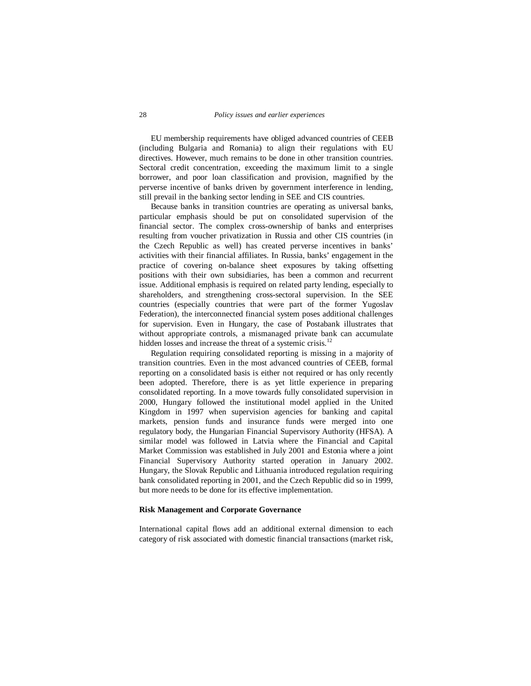## 28 *Policy issues and earlier experiences*

 EU membership requirements have obliged advanced countries of CEEB (including Bulgaria and Romania) to align their regulations with EU directives. However, much remains to be done in other transition countries. Sectoral credit concentration, exceeding the maximum limit to a single borrower, and poor loan classification and provision, magnified by the perverse incentive of banks driven by government interference in lending, still prevail in the banking sector lending in SEE and CIS countries.

 Because banks in transition countries are operating as universal banks, particular emphasis should be put on consolidated supervision of the financial sector. The complex cross-ownership of banks and enterprises resulting from voucher privatization in Russia and other CIS countries (in the Czech Republic as well) has created perverse incentives in banks' activities with their financial affiliates. In Russia, banks' engagement in the practice of covering on-balance sheet exposures by taking offsetting positions with their own subsidiaries, has been a common and recurrent issue. Additional emphasis is required on related party lending, especially to shareholders, and strengthening cross-sectoral supervision. In the SEE countries (especially countries that were part of the former Yugoslav Federation), the interconnected financial system poses additional challenges for supervision. Even in Hungary, the case of Postabank illustrates that without appropriate controls, a mismanaged private bank can accumulate hidden losses and increase the threat of a systemic crisis.<sup>12</sup>

 Regulation requiring consolidated reporting is missing in a majority of transition countries. Even in the most advanced countries of CEEB, formal reporting on a consolidated basis is either not required or has only recently been adopted. Therefore, there is as yet little experience in preparing consolidated reporting. In a move towards fully consolidated supervision in 2000, Hungary followed the institutional model applied in the United Kingdom in 1997 when supervision agencies for banking and capital markets, pension funds and insurance funds were merged into one regulatory body, the Hungarian Financial Supervisory Authority (HFSA). A similar model was followed in Latvia where the Financial and Capital Market Commission was established in July 2001 and Estonia where a joint Financial Supervisory Authority started operation in January 2002. Hungary, the Slovak Republic and Lithuania introduced regulation requiring bank consolidated reporting in 2001, and the Czech Republic did so in 1999, but more needs to be done for its effective implementation.

## **Risk Management and Corporate Governance**

International capital flows add an additional external dimension to each category of risk associated with domestic financial transactions (market risk,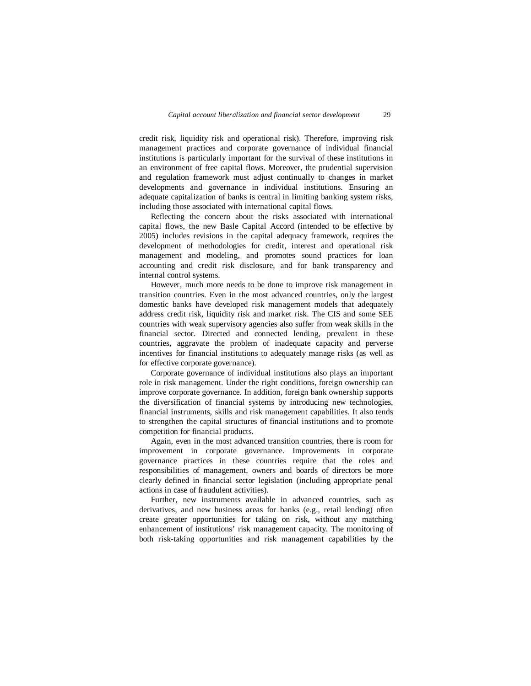credit risk, liquidity risk and operational risk). Therefore, improving risk management practices and corporate governance of individual financial institutions is particularly important for the survival of these institutions in an environment of free capital flows. Moreover, the prudential supervision and regulation framework must adjust continually to changes in market developments and governance in individual institutions. Ensuring an adequate capitalization of banks is central in limiting banking system risks, including those associated with international capital flows.

 Reflecting the concern about the risks associated with international capital flows, the new Basle Capital Accord (intended to be effective by 2005) includes revisions in the capital adequacy framework, requires the development of methodologies for credit, interest and operational risk management and modeling, and promotes sound practices for loan accounting and credit risk disclosure, and for bank transparency and internal control systems.

 However, much more needs to be done to improve risk management in transition countries. Even in the most advanced countries, only the largest domestic banks have developed risk management models that adequately address credit risk, liquidity risk and market risk. The CIS and some SEE countries with weak supervisory agencies also suffer from weak skills in the financial sector. Directed and connected lending, prevalent in these countries, aggravate the problem of inadequate capacity and perverse incentives for financial institutions to adequately manage risks (as well as for effective corporate governance).

 Corporate governance of individual institutions also plays an important role in risk management. Under the right conditions, foreign ownership can improve corporate governance. In addition, foreign bank ownership supports the diversification of financial systems by introducing new technologies, financial instruments, skills and risk management capabilities. It also tends to strengthen the capital structures of financial institutions and to promote competition for financial products.

Again, even in the most advanced transition countries, there is room for improvement in corporate governance. Improvements in corporate governance practices in these countries require that the roles and responsibilities of management, owners and boards of directors be more clearly defined in financial sector legislation (including appropriate penal actions in case of fraudulent activities).

 Further, new instruments available in advanced countries, such as derivatives, and new business areas for banks (e.g., retail lending) often create greater opportunities for taking on risk, without any matching enhancement of institutions' risk management capacity. The monitoring of both risk-taking opportunities and risk management capabilities by the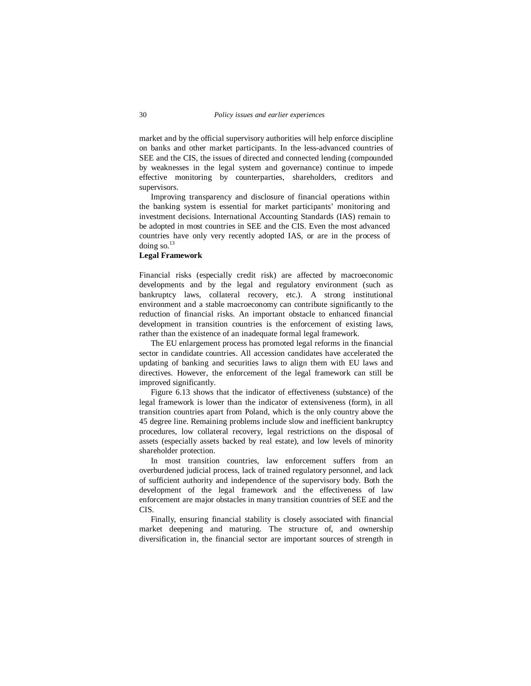market and by the official supervisory authorities will help enforce discipline on banks and other market participants. In the less-advanced countries of SEE and the CIS, the issues of directed and connected lending (compounded by weaknesses in the legal system and governance) continue to impede effective monitoring by counterparties, shareholders, creditors and supervisors.

 Improving transparency and disclosure of financial operations within the banking system is essential for market participants' monitoring and investment decisions. International Accounting Standards (IAS) remain to be adopted in most countries in SEE and the CIS. Even the most advanced countries have only very recently adopted IAS, or are in the process of doing so. $^{13}$ 

#### **Legal Framework**

Financial risks (especially credit risk) are affected by macroeconomic developments and by the legal and regulatory environment (such as bankruptcy laws, collateral recovery, etc.). A strong institutional environment and a stable macroeconomy can contribute significantly to the reduction of financial risks. An important obstacle to enhanced financial development in transition countries is the enforcement of existing laws, rather than the existence of an inadequate formal legal framework.

 The EU enlargement process has promoted legal reforms in the financial sector in candidate countries. All accession candidates have accelerated the updating of banking and securities laws to align them with EU laws and directives. However, the enforcement of the legal framework can still be improved significantly.

 Figure 6.13 shows that the indicator of effectiveness (substance) of the legal framework is lower than the indicator of extensiveness (form), in all transition countries apart from Poland, which is the only country above the 45 degree line. Remaining problems include slow and inefficient bankruptcy procedures, low collateral recovery, legal restrictions on the disposal of assets (especially assets backed by real estate), and low levels of minority shareholder protection.

 In most transition countries, law enforcement suffers from an overburdened judicial process, lack of trained regulatory personnel, and lack of sufficient authority and independence of the supervisory body. Both the development of the legal framework and the effectiveness of law enforcement are major obstacles in many transition countries of SEE and the CIS.

 Finally, ensuring financial stability is closely associated with financial market deepening and maturing. The structure of, and ownership diversification in, the financial sector are important sources of strength in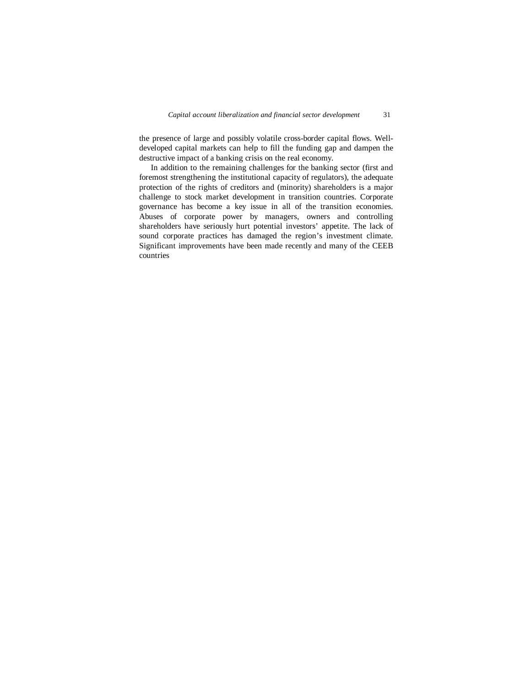the presence of large and possibly volatile cross-border capital flows. Welldeveloped capital markets can help to fill the funding gap and dampen the destructive impact of a banking crisis on the real economy.

 In addition to the remaining challenges for the banking sector (first and foremost strengthening the institutional capacity of regulators), the adequate protection of the rights of creditors and (minority) shareholders is a major challenge to stock market development in transition countries. Corporate governance has become a key issue in all of the transition economies. Abuses of corporate power by managers, owners and controlling shareholders have seriously hurt potential investors' appetite. The lack of sound corporate practices has damaged the region's investment climate. Significant improvements have been made recently and many of the CEEB countries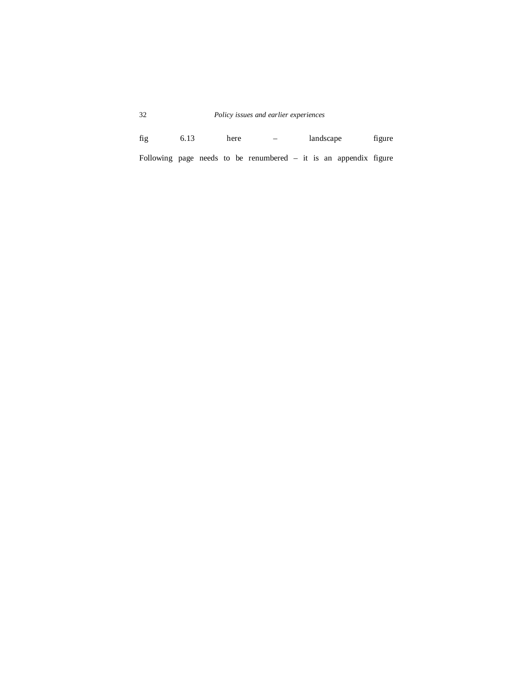# 32 *Policy issues and earlier experiences*

fig 6.13 here – landscape figure Following page needs to be renumbered – it is an appendix figure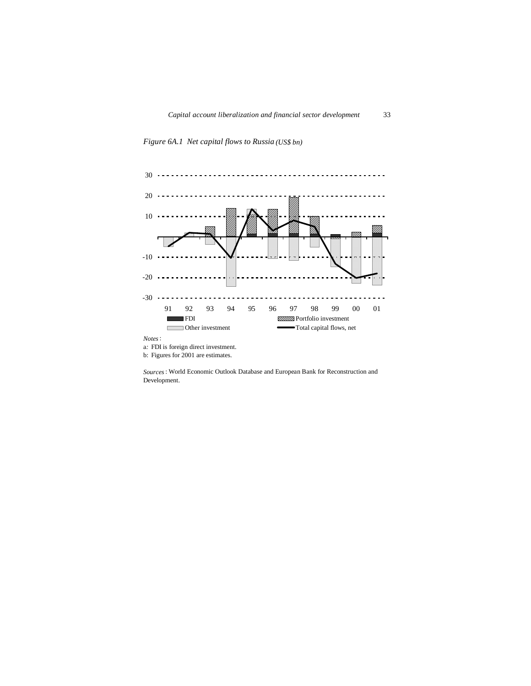



b: Figures for 2001 are estimates.

*Sources*: World Economic Outlook Database and European Bank for Reconstruction and Development.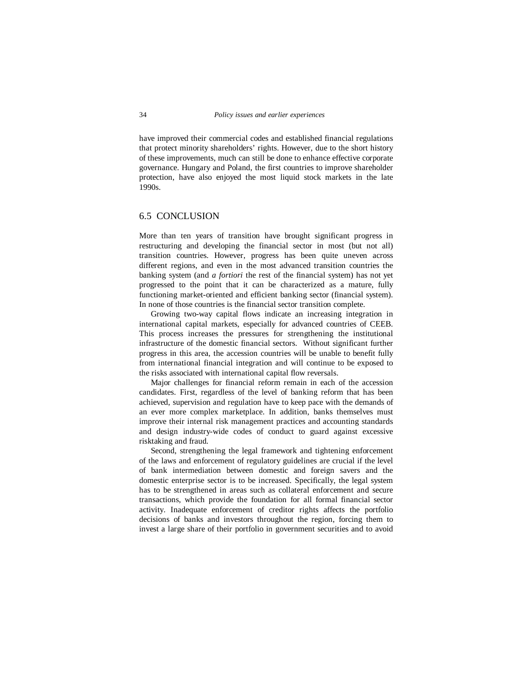have improved their commercial codes and established financial regulations that protect minority shareholders' rights. However, due to the short history of these improvements, much can still be done to enhance effective corporate governance. Hungary and Poland, the first countries to improve shareholder protection, have also enjoyed the most liquid stock markets in the late 1990s.

## 6.5 CONCLUSION

More than ten years of transition have brought significant progress in restructuring and developing the financial sector in most (but not all) transition countries. However, progress has been quite uneven across different regions, and even in the most advanced transition countries the banking system (and *a fortiori* the rest of the financial system) has not yet progressed to the point that it can be characterized as a mature, fully functioning market-oriented and efficient banking sector (financial system). In none of those countries is the financial sector transition complete.

 Growing two-way capital flows indicate an increasing integration in international capital markets, especially for advanced countries of CEEB. This process increases the pressures for strengthening the institutional infrastructure of the domestic financial sectors. Without significant further progress in this area, the accession countries will be unable to benefit fully from international financial integration and will continue to be exposed to the risks associated with international capital flow reversals.

 Major challenges for financial reform remain in each of the accession candidates. First, regardless of the level of banking reform that has been achieved, supervision and regulation have to keep pace with the demands of an ever more complex marketplace. In addition, banks themselves must improve their internal risk management practices and accounting standards and design industry-wide codes of conduct to guard against excessive risktaking and fraud.

 Second, strengthening the legal framework and tightening enforcement of the laws and enforcement of regulatory guidelines are crucial if the level of bank intermediation between domestic and foreign savers and the domestic enterprise sector is to be increased. Specifically, the legal system has to be strengthened in areas such as collateral enforcement and secure transactions, which provide the foundation for all formal financial sector activity. Inadequate enforcement of creditor rights affects the portfolio decisions of banks and investors throughout the region, forcing them to invest a large share of their portfolio in government securities and to avoid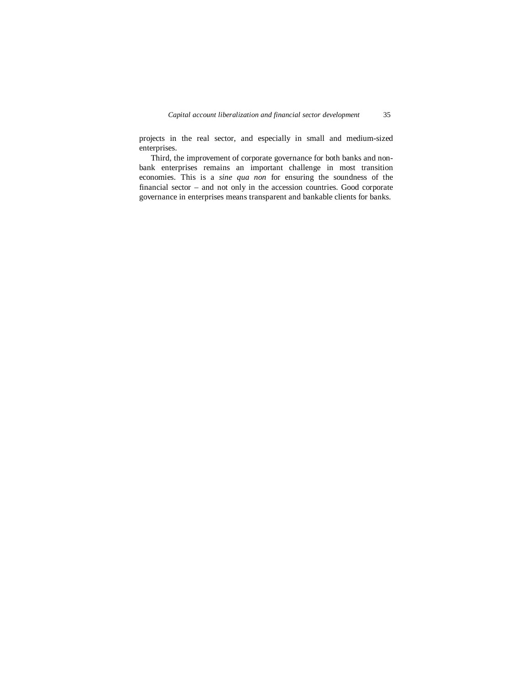projects in the real sector, and especially in small and medium-sized enterprises.

 Third, the improvement of corporate governance for both banks and nonbank enterprises remains an important challenge in most transition economies. This is a *sine qua non* for ensuring the soundness of the financial sector – and not only in the accession countries. Good corporate governance in enterprises means transparent and bankable clients for banks.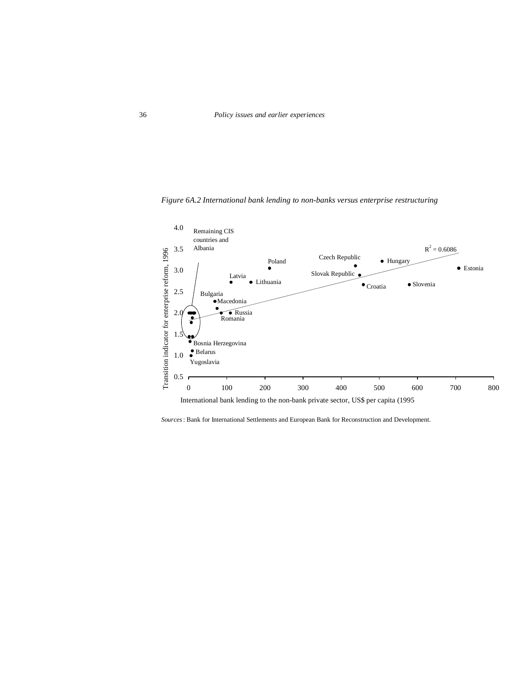

*Figure 6A.2 International bank lending to non-banks versus enterprise restructuring*

*Sources*: Bank for International Settlements and European Bank for Reconstruction and Development.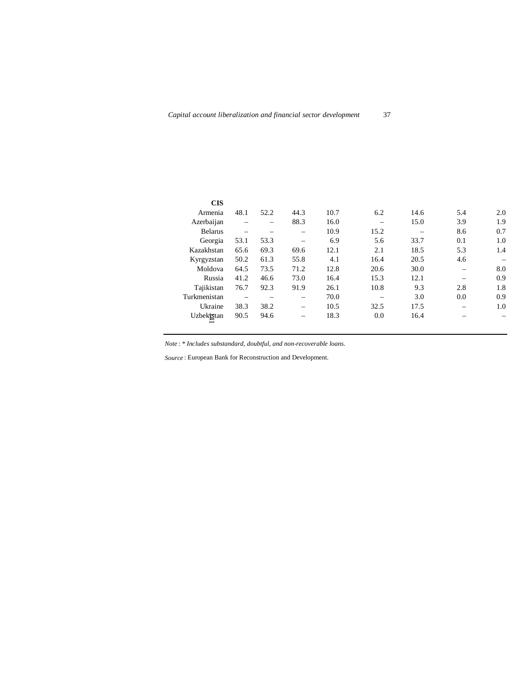| <b>CIS</b>     |      |      |      |      |      |      |     |     |
|----------------|------|------|------|------|------|------|-----|-----|
| Armenia        | 48.1 | 52.2 | 44.3 | 10.7 | 6.2  | 14.6 | 5.4 | 2.0 |
| Azerbaijan     |      |      | 88.3 | 16.0 |      | 15.0 | 3.9 | 1.9 |
| <b>Belarus</b> |      |      |      | 10.9 | 15.2 |      | 8.6 | 0.7 |
| Georgia        | 53.1 | 53.3 | -    | 6.9  | 5.6  | 33.7 | 0.1 | 1.0 |
| Kazakhstan     | 65.6 | 69.3 | 69.6 | 12.1 | 2.1  | 18.5 | 5.3 | 1.4 |
| Kyrgyzstan     | 50.2 | 61.3 | 55.8 | 4.1  | 16.4 | 20.5 | 4.6 |     |
| Moldova        | 64.5 | 73.5 | 71.2 | 12.8 | 20.6 | 30.0 |     | 8.0 |
| Russia         | 41.2 | 46.6 | 73.0 | 16.4 | 15.3 | 12.1 |     | 0.9 |
| Tajikistan     | 76.7 | 92.3 | 91.9 | 26.1 | 10.8 | 9.3  | 2.8 | 1.8 |
| Turkmenistan   |      |      |      | 70.0 |      | 3.0  | 0.0 | 0.9 |
| Ukraine        | 38.3 | 38.2 | -    | 10.5 | 32.5 | 17.5 |     | 1.0 |
| Uzbekistan     | 90.5 | 94.6 |      | 18.3 | 0.0  | 16.4 |     |     |

*Note* : *\* Includes substandard, doubtful, and non-recoverable loans.*

*Source* : European Bank for Reconstruction and Development.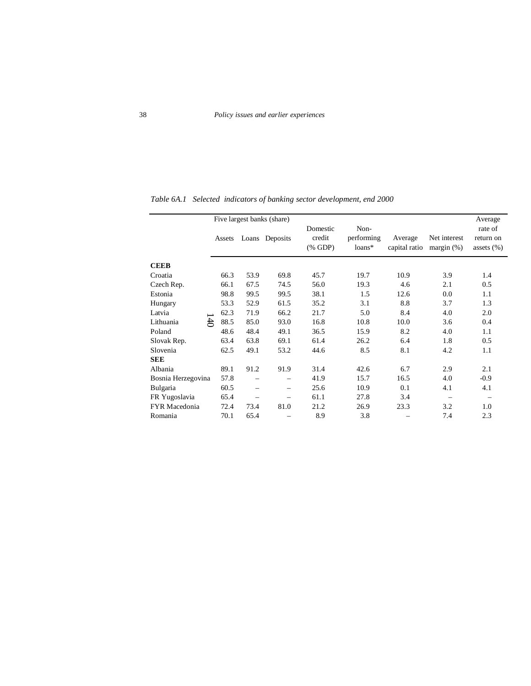|                    |        |      | Five largest banks (share) |                                          |                              |         |                                          | Average                                |
|--------------------|--------|------|----------------------------|------------------------------------------|------------------------------|---------|------------------------------------------|----------------------------------------|
|                    | Assets |      | Loans Deposits             | Domestic<br>credit<br>$(% \mathbf{GDP})$ | Non-<br>performing<br>loans* | Average | Net interest<br>capital ratio margin (%) | rate of<br>return on<br>assets $(\% )$ |
| <b>CEEB</b>        |        |      |                            |                                          |                              |         |                                          |                                        |
| Croatia            | 66.3   | 53.9 | 69.8                       | 45.7                                     | 19.7                         | 10.9    | 3.9                                      | 1.4                                    |
| Czech Rep.         | 66.1   | 67.5 | 74.5                       | 56.0                                     | 19.3                         | 4.6     | 2.1                                      | 0.5                                    |
| Estonia            | 98.8   | 99.5 | 99.5                       | 38.1                                     | 1.5                          | 12.6    | 0.0                                      | 1.1                                    |
| Hungary            | 53.3   | 52.9 | 61.5                       | 35.2                                     | 3.1                          | 8.8     | 3.7                                      | 1.3                                    |
| Latvia             | 62.3   | 71.9 | 66.2                       | 21.7                                     | 5.0                          | 8.4     | 4.0                                      | 2.0                                    |
| £<br>Lithuania     | 88.5   | 85.0 | 93.0                       | 16.8                                     | 10.8                         | 10.0    | 3.6                                      | 0.4                                    |
| Poland             | 48.6   | 48.4 | 49.1                       | 36.5                                     | 15.9                         | 8.2     | 4.0                                      | 1.1                                    |
| Slovak Rep.        | 63.4   | 63.8 | 69.1                       | 61.4                                     | 26.2                         | 6.4     | 1.8                                      | 0.5                                    |
| Slovenia           | 62.5   | 49.1 | 53.2                       | 44.6                                     | 8.5                          | 8.1     | 4.2                                      | 1.1                                    |
| <b>SEE</b>         |        |      |                            |                                          |                              |         |                                          |                                        |
| Albania            | 89.1   | 91.2 | 91.9                       | 31.4                                     | 42.6                         | 6.7     | 2.9                                      | 2.1                                    |
| Bosnia Herzegovina | 57.8   |      | $\overline{\phantom{0}}$   | 41.9                                     | 15.7                         | 16.5    | 4.0                                      | $-0.9$                                 |
| Bulgaria           | 60.5   |      |                            | 25.6                                     | 10.9                         | 0.1     | 4.1                                      | 4.1                                    |
| FR Yugoslavia      | 65.4   |      |                            | 61.1                                     | 27.8                         | 3.4     |                                          |                                        |
| FYR Macedonia      | 72.4   | 73.4 | 81.0                       | 21.2                                     | 26.9                         | 23.3    | 3.2                                      | 1.0                                    |
| Romania            | 70.1   | 65.4 |                            | 8.9                                      | 3.8                          |         | 7.4                                      | 2.3                                    |

*Table 6A.1 Selected indicators of banking sector development, end 2000*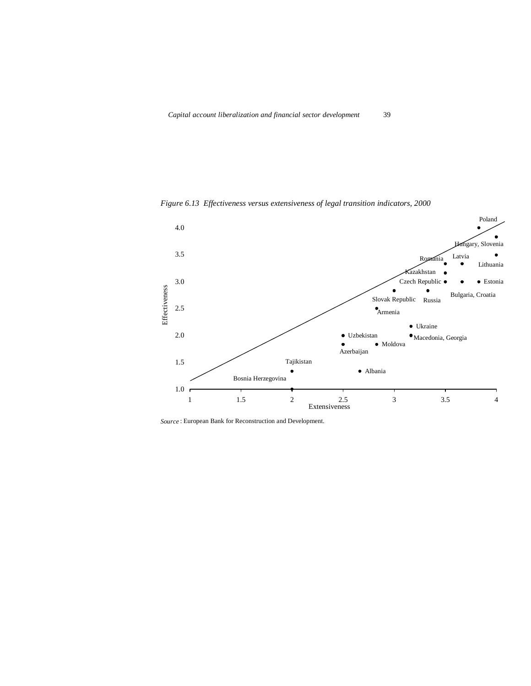

*Figure 6.13 Effectiveness versus extensiveness of legal transition indicators, 2000*

*Source* : European Bank for Reconstruction and Development.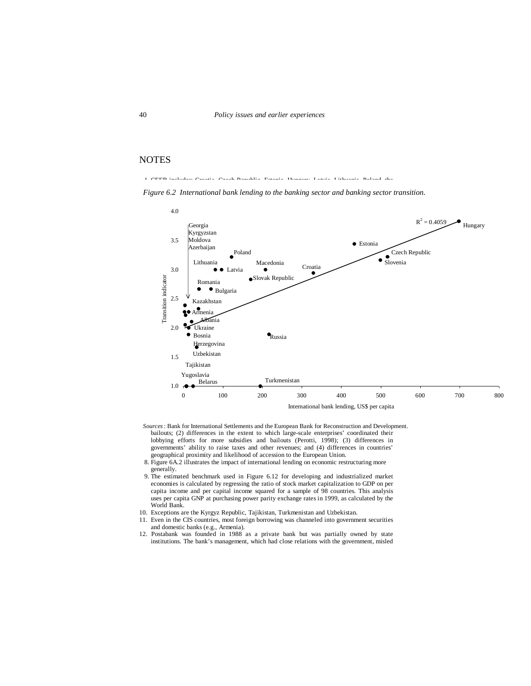## NOTES

1. CEEB includes: Croatia, Czech Republic, Estonia, Hungary, Latvia, Lithuania, Poland, the

Slovak Republic and Slovenia. SEE includes: Albania, Bosnia and Herzegovina, Bulgaria, Figure 6.2 International bank lending to the banking sector and banking sector transition.



- Sources: Bank for International Settlements and the European Bank for Reconstruction and Development. bailouts; (2) differences in the extent to which large-scale enterprises' coordinated their lobbying efforts for more subsidies and bailouts (Perotti, 1998); (3) differences in governments' ability to raise taxes and other revenues; and (4) differences in countries' geographical proximity and likelihood of accession to the European Union.
- 8. Figure 6A.2 illustrates the impact of international lending on economic restructuring more
	- generally.
- 9. The estimated benchmark used in Figure 6.12 for developing and industrialized market economies is calculated by regressing the ratio of stock market capitalization to GDP on per capita income and per capital income squared for a sample of 98 countries. This analysis uses per capita GNP at purchasing power parity exchange rates in 1999, as calculated by the World Bank.
- 10. Exceptions are the Kyrgyz Republic, Tajikistan, Turkmenistan and Uzbekistan.
- 11. Even in the CIS countries, most foreign borrowing was channeled into government securities and domestic banks (e.g., Armenia).
- 12. Postabank was founded in 1988 as a private bank but was partially owned by state